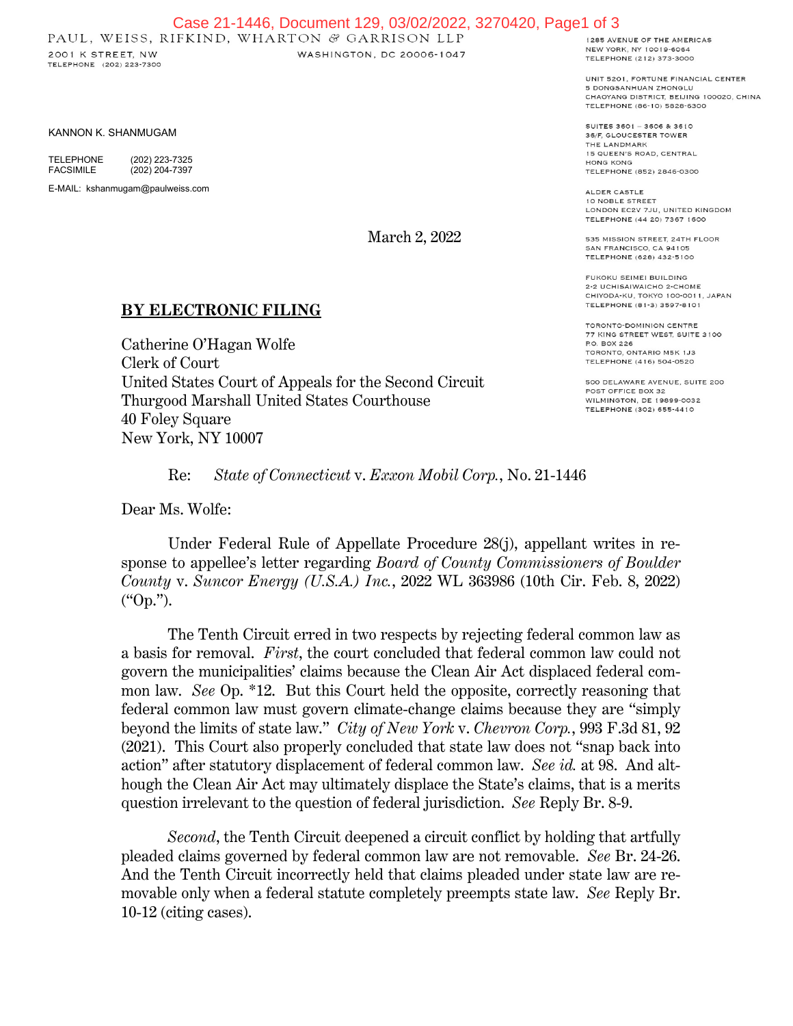## Case 21-1446, Document 129, 03/02/2022, 3270420, Page1 of 3<br>PAUL, WEISS, RIFKIND, WHARTON & GARRISON LLP

2001 K STREET, NW TELEPHONE (202) 223-7300 WASHINGTON, DC 20006-1047

KANNON K. SHANMUGAM

TELEPHONE (202) 223-7325<br>FACSIMILE (202) 204-7397  $(202)$  204-7397 E-MAIL: kshanmugam@paulweiss.com

March 2, 2022

## **BY ELECTRONIC FILING**

Catherine O'Hagan Wolfe Clerk of Court United States Court of Appeals for the Second Circuit Thurgood Marshall United States Courthouse 40 Foley Square New York, NY 10007

1285 AVENUE OF THE AMERICAS NEW YORK, NY 10019-6064 TELEPHONE (212) 373-3000

UNIT 5201, FORTUNE FINANCIAL CENTER 5 DONGSANHUAN ZHONGLU CHAOYANG DISTRICT, BEIJING 100020, CHINA TELEPHONE (86-10) 5828-6300

SUITES 3601 - 3606 & 3610 36/F. GLOUCESTER TOWER THE LANDMARK 15 QUEEN'S ROAD, CENTRAL **HONG KONG** TELEPHONE (852) 2846-0300

ALDER CASTLE 10 NOBLE STREET LONDON EC2V 7JU, UNITED KINGDOM TELEPHONE (44 20) 7367 1600

535 MISSION STREET, 24TH FLOOR SAN FRANCISCO, CA 94105 TELEPHONE (628) 432-5100

FUKOKU SEIMEI BUILDING 2-2 UCHISAIWAICHO 2-CHOME CHIYODA-KU, TOKYO 100-0011, JAPAN TELEPHONE (81-3) 3597-8101

TORONTO-DOMINION CENTRE 77 KING STREET WEST, SUITE 3100 P.O. BOX 226 TORONTO, ONTARIO M5K 1J3 TELEPHONE (416) 504-0520

500 DELAWARE AVENUE, SUITE 200 POST OFFICE BOX 32 WILMINGTON, DE 19899-0032 TELEPHONE (302) 655-4410

Re: *State of Connecticut* v. *Exxon Mobil Corp.*, No. 21-1446

Dear Ms. Wolfe:

Under Federal Rule of Appellate Procedure 28(j), appellant writes in response to appellee's letter regarding *Board of County Commissioners of Boulder County* v. *Suncor Energy (U.S.A.) Inc.*, 2022 WL 363986 (10th Cir. Feb. 8, 2022) ("Op.").

The Tenth Circuit erred in two respects by rejecting federal common law as a basis for removal. *First*, the court concluded that federal common law could not govern the municipalities' claims because the Clean Air Act displaced federal common law. *See* Op. \*12. But this Court held the opposite, correctly reasoning that federal common law must govern climate-change claims because they are "simply beyond the limits of state law." *City of New York* v. *Chevron Corp.*, 993 F.3d 81, 92 (2021). This Court also properly concluded that state law does not "snap back into action" after statutory displacement of federal common law. *See id.* at 98. And although the Clean Air Act may ultimately displace the State's claims, that is a merits question irrelevant to the question of federal jurisdiction. *See* Reply Br. 8-9.

*Second*, the Tenth Circuit deepened a circuit conflict by holding that artfully pleaded claims governed by federal common law are not removable. *See* Br. 24-26. And the Tenth Circuit incorrectly held that claims pleaded under state law are removable only when a federal statute completely preempts state law. *See* Reply Br. 10-12 (citing cases).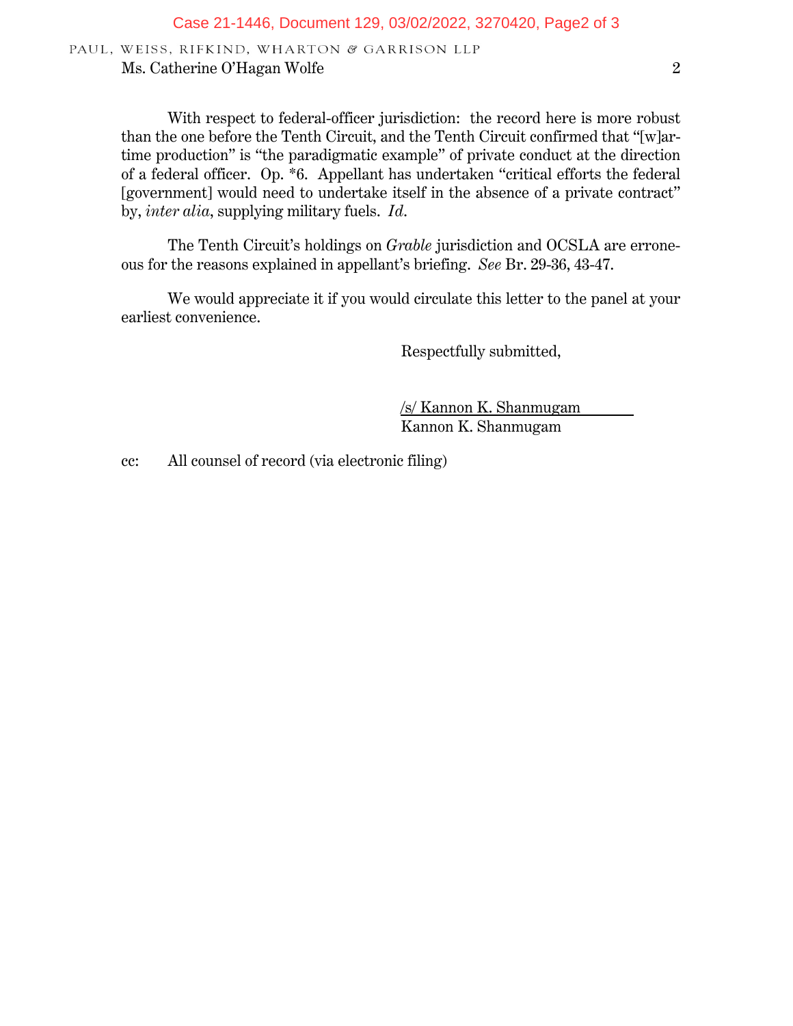PAUL, WEISS, RIFKIND, WHARTON & GARRISON LLP Ms. Catherine O'Hagan Wolfe 2

With respect to federal-officer jurisdiction: the record here is more robust than the one before the Tenth Circuit, and the Tenth Circuit confirmed that "[w]artime production" is "the paradigmatic example" of private conduct at the direction of a federal officer. Op. \*6. Appellant has undertaken "critical efforts the federal [government] would need to undertake itself in the absence of a private contract" by, *inter alia*, supplying military fuels. *Id*.

The Tenth Circuit's holdings on *Grable* jurisdiction and OCSLA are erroneous for the reasons explained in appellant's briefing. *See* Br. 29-36, 43-47.

We would appreciate it if you would circulate this letter to the panel at your earliest convenience.

Respectfully submitted,

/s/ Kannon K. Shanmugam Kannon K. Shanmugam

cc: All counsel of record (via electronic filing)